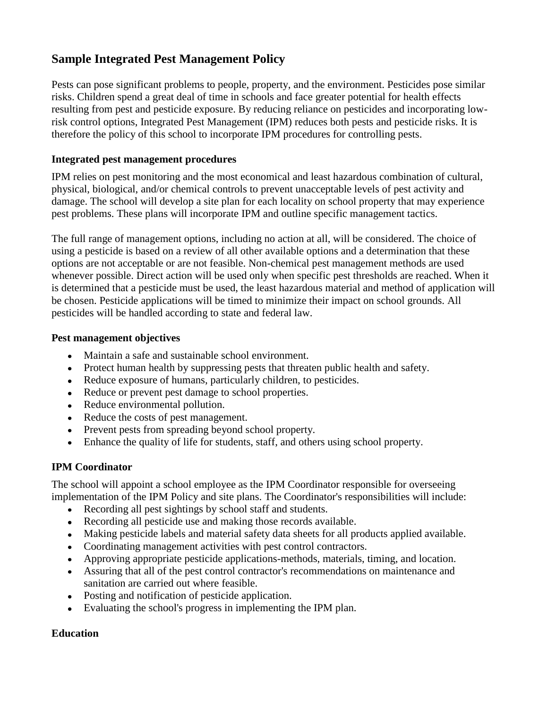# **Sample Integrated Pest Management Policy**

Pests can pose significant problems to people, property, and the environment. Pesticides pose similar risks. Children spend a great deal of time in schools and face greater potential for health effects resulting from pest and pesticide exposure. By reducing reliance on pesticides and incorporating lowrisk control options, Integrated Pest Management (IPM) reduces both pests and pesticide risks. It is therefore the policy of this school to incorporate IPM procedures for controlling pests.

## **Integrated pest management procedures**

IPM relies on pest monitoring and the most economical and least hazardous combination of cultural, physical, biological, and/or chemical controls to prevent unacceptable levels of pest activity and damage. The school will develop a site plan for each locality on school property that may experience pest problems. These plans will incorporate IPM and outline specific management tactics.

The full range of management options, including no action at all, will be considered. The choice of using a pesticide is based on a review of all other available options and a determination that these options are not acceptable or are not feasible. Non-chemical pest management methods are used whenever possible. Direct action will be used only when specific pest thresholds are reached. When it is determined that a pesticide must be used, the least hazardous material and method of application will be chosen. Pesticide applications will be timed to minimize their impact on school grounds. All pesticides will be handled according to state and federal law.

## **Pest management objectives**

- Maintain a safe and sustainable school environment.
- Protect human health by suppressing pests that threaten public health and safety.
- Reduce exposure of humans, particularly children, to pesticides.
- Reduce or prevent pest damage to school properties.
- Reduce environmental pollution.
- Reduce the costs of pest management.
- Prevent pests from spreading beyond school property.
- Enhance the quality of life for students, staff, and others using school property.  $\bullet$

## **IPM Coordinator**

The school will appoint a school employee as the IPM Coordinator responsible for overseeing implementation of the IPM Policy and site plans. The Coordinator's responsibilities will include:

- Recording all pest sightings by school staff and students.
- Recording all pesticide use and making those records available.
- Making pesticide labels and material safety data sheets for all products applied available.
- Coordinating management activities with pest control contractors.
- Approving appropriate pesticide applications-methods, materials, timing, and location.
- Assuring that all of the pest control contractor's recommendations on maintenance and sanitation are carried out where feasible.
- Posting and notification of pesticide application.
- Evaluating the school's progress in implementing the IPM plan.  $\bullet$

## **Education**